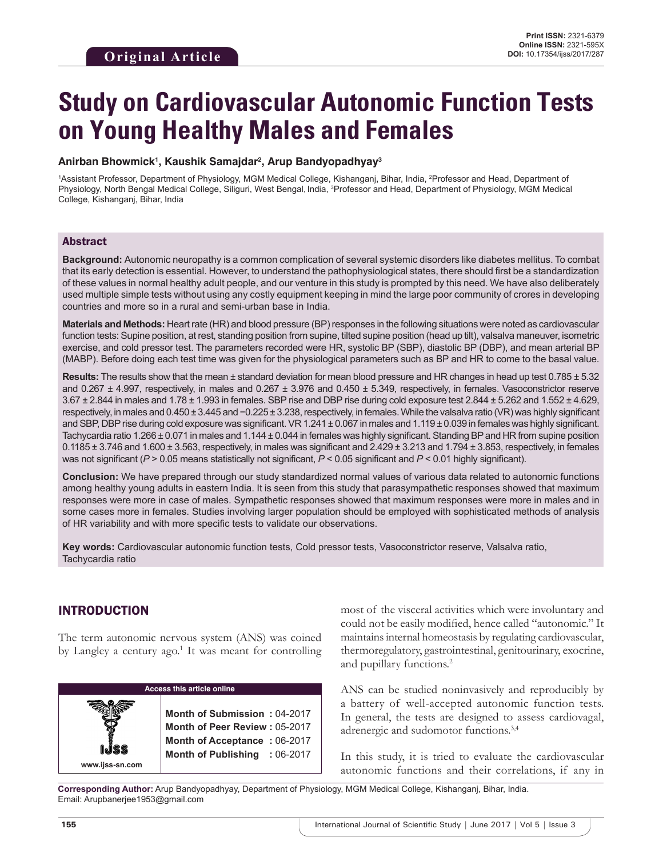# **Study on Cardiovascular Autonomic Function Tests on Young Healthy Males and Females**

#### **Anirban Bhowmick1 , Kaushik Samajdar2 , Arup Bandyopadhyay3**

<sup>1</sup>Assistant Professor, Department of Physiology, MGM Medical College, Kishanganj, Bihar, India, <sup>2</sup>Professor and Head, Department of Physiology, North Bengal Medical College, Siliguri, West Bengal, India, <sup>3</sup>Professor and Head, Department of Physiology, MGM Medical College, Kishanganj, Bihar, India

## Abstract

**Background:** Autonomic neuropathy is a common complication of several systemic disorders like diabetes mellitus. To combat that its early detection is essential. However, to understand the pathophysiological states, there should first be a standardization of these values in normal healthy adult people, and our venture in this study is prompted by this need. We have also deliberately used multiple simple tests without using any costly equipment keeping in mind the large poor community of crores in developing countries and more so in a rural and semi-urban base in India.

**Materials and Methods:** Heart rate (HR) and blood pressure (BP) responses in the following situations were noted as cardiovascular function tests: Supine position, at rest, standing position from supine, tilted supine position (head up tilt), valsalva maneuver, isometric exercise, and cold pressor test. The parameters recorded were HR, systolic BP (SBP), diastolic BP (DBP), and mean arterial BP (MABP). Before doing each test time was given for the physiological parameters such as BP and HR to come to the basal value.

**Results:** The results show that the mean ± standard deviation for mean blood pressure and HR changes in head up test 0.785 ± 5.32 and 0.267 ± 4.997, respectively, in males and 0.267 ± 3.976 and 0.450 ± 5.349, respectively, in females. Vasoconstrictor reserve 3.67 ± 2.844 in males and 1.78 ± 1.993 in females. SBP rise and DBP rise during cold exposure test 2.844 ± 5.262 and 1.552 ± 4.629, respectively, in males and 0.450 ± 3.445 and −0.225 ± 3.238, respectively, in females. While the valsalva ratio (VR) was highly significant and SBP, DBP rise during cold exposure was significant. VR 1.241 ± 0.067 in males and 1.119 ± 0.039 in females was highly significant. Tachycardia ratio 1.266 ± 0.071 in males and 1.144 ± 0.044 in females was highly significant. Standing BP and HR from supine position  $0.1185 \pm 3.746$  and  $1.600 \pm 3.563$ , respectively, in males was significant and  $2.429 \pm 3.213$  and  $1.794 \pm 3.853$ , respectively, in females was not significant (*P* > 0.05 means statistically not significant, *P* < 0.05 significant and *P* < 0.01 highly significant).

**Conclusion:** We have prepared through our study standardized normal values of various data related to autonomic functions among healthy young adults in eastern India. It is seen from this study that parasympathetic responses showed that maximum responses were more in case of males. Sympathetic responses showed that maximum responses were more in males and in some cases more in females. Studies involving larger population should be employed with sophisticated methods of analysis of HR variability and with more specific tests to validate our observations.

**Key words:** Cardiovascular autonomic function tests, Cold pressor tests, Vasoconstrictor reserve, Valsalva ratio, Tachycardia ratio

## INTRODUCTION

**www.ijss-sn.com**

The term autonomic nervous system (ANS) was coined by Langley a century ago.<sup>1</sup> It was meant for controlling

| <b>Access this article online</b> |  |                                                   |  |  |  |  |  |
|-----------------------------------|--|---------------------------------------------------|--|--|--|--|--|
| Ş                                 |  | Month of Submission: 0<br>Month of Peer Review: 0 |  |  |  |  |  |

**Month of Submission :** 04-2017  $5 - 2017$ **Month of Acceptance :** 06-2017 **Month of Publishing :** 06-2017 most of the visceral activities which were involuntary and could not be easily modified, hence called "autonomic." It maintains internal homeostasis by regulating cardiovascular, thermoregulatory, gastrointestinal, genitourinary, exocrine, and pupillary functions.<sup>2</sup>

ANS can be studied noninvasively and reproducibly by a battery of well-accepted autonomic function tests. In general, the tests are designed to assess cardiovagal, adrenergic and sudomotor functions.3,4

In this study, it is tried to evaluate the cardiovascular autonomic functions and their correlations, if any in

**Corresponding Author:** Arup Bandyopadhyay, Department of Physiology, MGM Medical College, Kishanganj, Bihar, India. Email: Arupbanerjee1953@gmail.com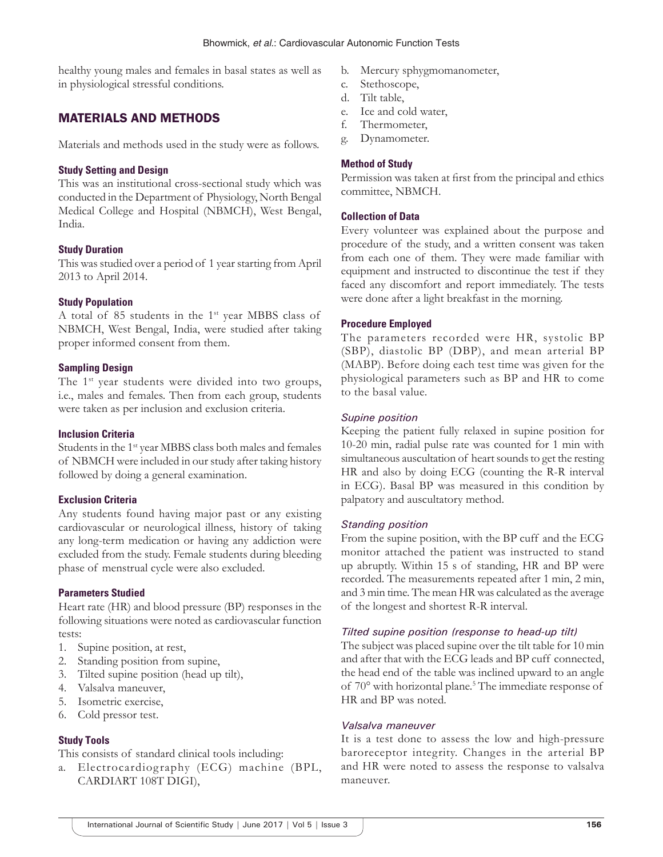healthy young males and females in basal states as well as in physiological stressful conditions.

## MATERIALS AND METHODS

Materials and methods used in the study were as follows.

#### **Study Setting and Design**

This was an institutional cross-sectional study which was conducted in the Department of Physiology, North Bengal Medical College and Hospital (NBMCH), West Bengal, India.

#### **Study Duration**

This was studied over a period of 1 year starting from April 2013 to April 2014.

#### **Study Population**

A total of 85 students in the 1st year MBBS class of NBMCH, West Bengal, India, were studied after taking proper informed consent from them.

#### **Sampling Design**

The 1<sup>st</sup> year students were divided into two groups, i.e., males and females. Then from each group, students were taken as per inclusion and exclusion criteria.

#### **Inclusion Criteria**

Students in the 1<sup>st</sup> year MBBS class both males and females of NBMCH were included in our study after taking history followed by doing a general examination.

#### **Exclusion Criteria**

Any students found having major past or any existing cardiovascular or neurological illness, history of taking any long-term medication or having any addiction were excluded from the study. Female students during bleeding phase of menstrual cycle were also excluded.

#### **Parameters Studied**

Heart rate (HR) and blood pressure (BP) responses in the following situations were noted as cardiovascular function tests:

- 1. Supine position, at rest,
- 2. Standing position from supine,
- 3. Tilted supine position (head up tilt),
- 4. Valsalva maneuver,
- 5. Isometric exercise,
- 6. Cold pressor test.

#### **Study Tools**

This consists of standard clinical tools including:

a. Electrocardiography (ECG) machine (BPL, CARDIART 108T DIGI),

- b. Mercury sphygmomanometer,
- c. Stethoscope,
- d. Tilt table,
- e. Ice and cold water,
- f. Thermometer,
- g. Dynamometer.

#### **Method of Study**

Permission was taken at first from the principal and ethics committee, NBMCH.

#### **Collection of Data**

Every volunteer was explained about the purpose and procedure of the study, and a written consent was taken from each one of them. They were made familiar with equipment and instructed to discontinue the test if they faced any discomfort and report immediately. The tests were done after a light breakfast in the morning.

#### **Procedure Employed**

The parameters recorded were HR, systolic BP (SBP), diastolic BP (DBP), and mean arterial BP (MABP). Before doing each test time was given for the physiological parameters such as BP and HR to come to the basal value.

#### *Supine position*

Keeping the patient fully relaxed in supine position for 10-20 min, radial pulse rate was counted for 1 min with simultaneous auscultation of heart sounds to get the resting HR and also by doing ECG (counting the R-R interval in ECG). Basal BP was measured in this condition by palpatory and auscultatory method.

#### *Standing position*

From the supine position, with the BP cuff and the ECG monitor attached the patient was instructed to stand up abruptly. Within 15 s of standing, HR and BP were recorded. The measurements repeated after 1 min, 2 min, and 3 min time. The mean HR was calculated as the average of the longest and shortest R-R interval.

#### *Tilted supine position (response to head-up tilt)*

The subject was placed supine over the tilt table for 10 min and after that with the ECG leads and BP cuff connected, the head end of the table was inclined upward to an angle of 70° with horizontal plane.<sup>5</sup> The immediate response of HR and BP was noted.

#### *Valsalva maneuver*

It is a test done to assess the low and high-pressure baroreceptor integrity. Changes in the arterial BP and HR were noted to assess the response to valsalva maneuver.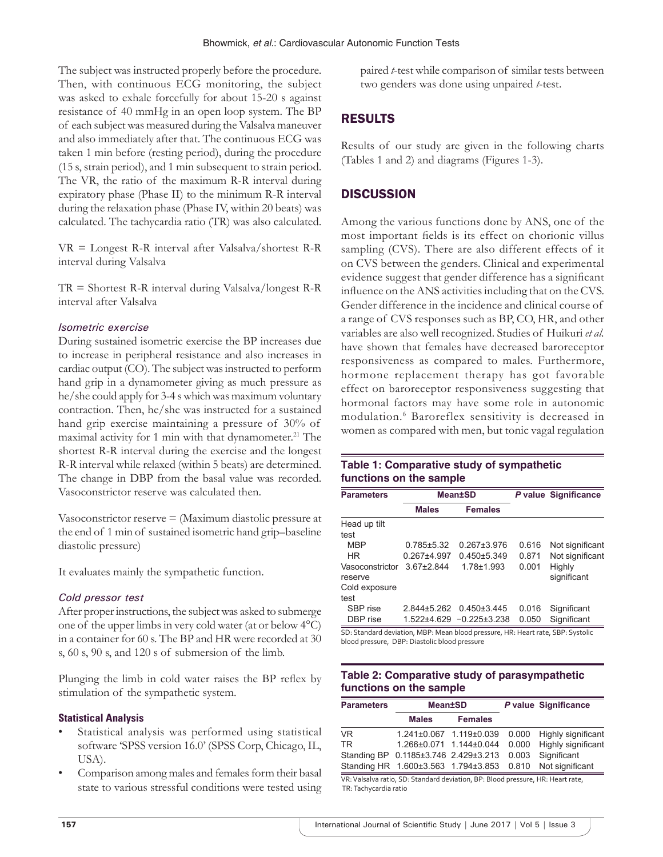The subject was instructed properly before the procedure. Then, with continuous ECG monitoring, the subject was asked to exhale forcefully for about 15-20 s against resistance of 40 mmHg in an open loop system. The BP of each subject was measured during the Valsalva maneuver and also immediately after that. The continuous ECG was taken 1 min before (resting period), during the procedure (15 s, strain period), and 1 min subsequent to strain period. The VR, the ratio of the maximum R-R interval during expiratory phase (Phase II) to the minimum R-R interval during the relaxation phase (Phase IV, within 20 beats) was calculated. The tachycardia ratio (TR) was also calculated.

VR = Longest R-R interval after Valsalva/shortest R-R interval during Valsalva

TR = Shortest R-R interval during Valsalva/longest R-R interval after Valsalva

#### *Isometric exercise*

During sustained isometric exercise the BP increases due to increase in peripheral resistance and also increases in cardiac output (CO). The subject was instructed to perform hand grip in a dynamometer giving as much pressure as he/she could apply for 3-4 s which was maximum voluntary contraction. Then, he/she was instructed for a sustained hand grip exercise maintaining a pressure of 30% of maximal activity for 1 min with that dynamometer.<sup>21</sup> The shortest R-R interval during the exercise and the longest R-R interval while relaxed (within 5 beats) are determined. The change in DBP from the basal value was recorded. Vasoconstrictor reserve was calculated then.

Vasoconstrictor reserve = (Maximum diastolic pressure at the end of 1 min of sustained isometric hand grip–baseline diastolic pressure)

It evaluates mainly the sympathetic function.

#### *Cold pressor test*

After proper instructions, the subject was asked to submerge one of the upper limbs in very cold water (at or below 4°C) in a container for 60 s. The BP and HR were recorded at 30 s, 60 s, 90 s, and 120 s of submersion of the limb.

Plunging the limb in cold water raises the BP reflex by stimulation of the sympathetic system.

#### **Statistical Analysis**

- Statistical analysis was performed using statistical software 'SPSS version 16.0' (SPSS Corp, Chicago, IL, USA).
- Comparison among males and females form their basal state to various stressful conditions were tested using

paired *t*-test while comparison of similar tests between two genders was done using unpaired *t*-test.

## RESULTS

Results of our study are given in the following charts (Tables 1 and 2) and diagrams (Figures 1-3).

## **DISCUSSION**

Among the various functions done by ANS, one of the most important fields is its effect on chorionic villus sampling (CVS). There are also different effects of it on CVS between the genders. Clinical and experimental evidence suggest that gender difference has a significant influence on the ANS activities including that on the CVS. Gender difference in the incidence and clinical course of a range of CVS responses such as BP, CO, HR, and other variables are also well recognized. Studies of Huikuri *et al.* have shown that females have decreased baroreceptor responsiveness as compared to males. Furthermore, hormone replacement therapy has got favorable effect on baroreceptor responsiveness suggesting that hormonal factors may have some role in autonomic modulation.<sup>6</sup> Baroreflex sensitivity is decreased in women as compared with men, but tonic vagal regulation

## **Table 1: Comparative study of sympathetic functions on the sample**

| <b>Parameters</b>          | <b>Mean±SD</b>   |                                 |       | P value Significance  |  |
|----------------------------|------------------|---------------------------------|-------|-----------------------|--|
|                            | <b>Males</b>     | <b>Females</b>                  |       |                       |  |
| Head up tilt               |                  |                                 |       |                       |  |
| test                       |                  |                                 |       |                       |  |
| <b>MBP</b>                 | $0.785 \pm 5.32$ | $0.267 \pm 3.976$               | 0.616 | Not significant       |  |
| <b>HR</b>                  | $0.267 + 4.997$  | $0.450 + 5.349$                 | 0.871 | Not significant       |  |
| Vasoconstrictor<br>reserve | $367+2844$       | $1.78 + 1.993$                  | 0.001 | Highly<br>significant |  |
| Cold exposure              |                  |                                 |       |                       |  |
| test                       |                  |                                 |       |                       |  |
| SBP rise                   | 2.844±5.262      | $0.450 \pm 3.445$               | 0.016 | Significant           |  |
| DBP rise                   |                  | $1.522 + 4.629 - 0.225 + 3.238$ | 0.050 | Significant           |  |

SD: Standard deviation, MBP: Mean blood pressure, HR: Heart rate, SBP: Systolic blood pressure, DBP: Diastolic blood pressure

### **Table 2: Comparative study of parasympathetic functions on the sample**

| <b>Parameters</b>                                                               | <b>Mean±SD</b>                       |                         |       | P value Significance |  |  |  |  |
|---------------------------------------------------------------------------------|--------------------------------------|-------------------------|-------|----------------------|--|--|--|--|
|                                                                                 | <b>Males</b>                         | <b>Females</b>          |       |                      |  |  |  |  |
| VR.                                                                             |                                      | 1.241±0.067 1.119±0.039 | 0.000 | Highly significant   |  |  |  |  |
| TR.                                                                             |                                      | 1.266±0.071 1.144±0.044 | 0.000 | Highly significant   |  |  |  |  |
|                                                                                 | Standing BP 0.1185±3.746 2.429±3.213 |                         | 0.003 | Significant          |  |  |  |  |
|                                                                                 | Standing HR 1.600±3.563 1.794±3.853  |                         | 0.810 | Not significant      |  |  |  |  |
| VR: Valsalva ratio, SD: Standard deviation, BP: Blood pressure, HR: Heart rate, |                                      |                         |       |                      |  |  |  |  |

TR: Tachycardia ratio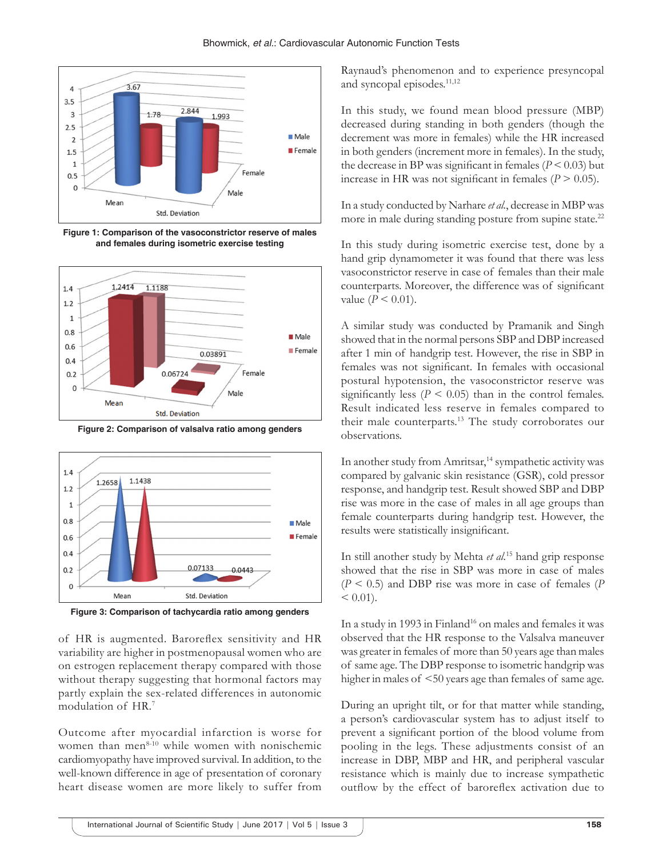

**Figure 1: Comparison of the vasoconstrictor reserve of males and females during isometric exercise testing**



**Figure 2: Comparison of valsalva ratio among genders**



**Figure 3: Comparison of tachycardia ratio among genders**

of HR is augmented. Baroreflex sensitivity and HR variability are higher in postmenopausal women who are on estrogen replacement therapy compared with those without therapy suggesting that hormonal factors may partly explain the sex-related differences in autonomic modulation of HR.<sup>7</sup>

Outcome after myocardial infarction is worse for women than men $8-10$  while women with nonischemic cardiomyopathy have improved survival. In addition, to the well-known difference in age of presentation of coronary heart disease women are more likely to suffer from

Raynaud's phenomenon and to experience presyncopal and syncopal episodes.<sup>11,12</sup>

In this study, we found mean blood pressure (MBP) decreased during standing in both genders (though the decrement was more in females) while the HR increased in both genders (increment more in females). In the study, the decrease in BP was significant in females  $(P < 0.03)$  but increase in HR was not significant in females  $(P > 0.05)$ .

In a study conducted by Narhare *et al.*, decrease in MBP was more in male during standing posture from supine state.<sup>22</sup>

In this study during isometric exercise test, done by a hand grip dynamometer it was found that there was less vasoconstrictor reserve in case of females than their male counterparts. Moreover, the difference was of significant value ( $P < 0.01$ ).

A similar study was conducted by Pramanik and Singh showed that in the normal persons SBP and DBP increased after 1 min of handgrip test. However, the rise in SBP in females was not significant. In females with occasional postural hypotension, the vasoconstrictor reserve was significantly less  $(P \le 0.05)$  than in the control females. Result indicated less reserve in females compared to their male counterparts.13 The study corroborates our observations.

In another study from Amritsar,<sup>14</sup> sympathetic activity was compared by galvanic skin resistance (GSR), cold pressor response, and handgrip test. Result showed SBP and DBP rise was more in the case of males in all age groups than female counterparts during handgrip test. However, the results were statistically insignificant.

In still another study by Mehta *et al.*15 hand grip response showed that the rise in SBP was more in case of males (*P* < 0.5) and DBP rise was more in case of females (*P*  $< 0.01$ ).

In a study in 1993 in Finland<sup>16</sup> on males and females it was observed that the HR response to the Valsalva maneuver was greater in females of more than 50 years age than males of same age. The DBP response to isometric handgrip was higher in males of <50 years age than females of same age.

During an upright tilt, or for that matter while standing, a person's cardiovascular system has to adjust itself to prevent a significant portion of the blood volume from pooling in the legs. These adjustments consist of an increase in DBP, MBP and HR, and peripheral vascular resistance which is mainly due to increase sympathetic outflow by the effect of baroreflex activation due to